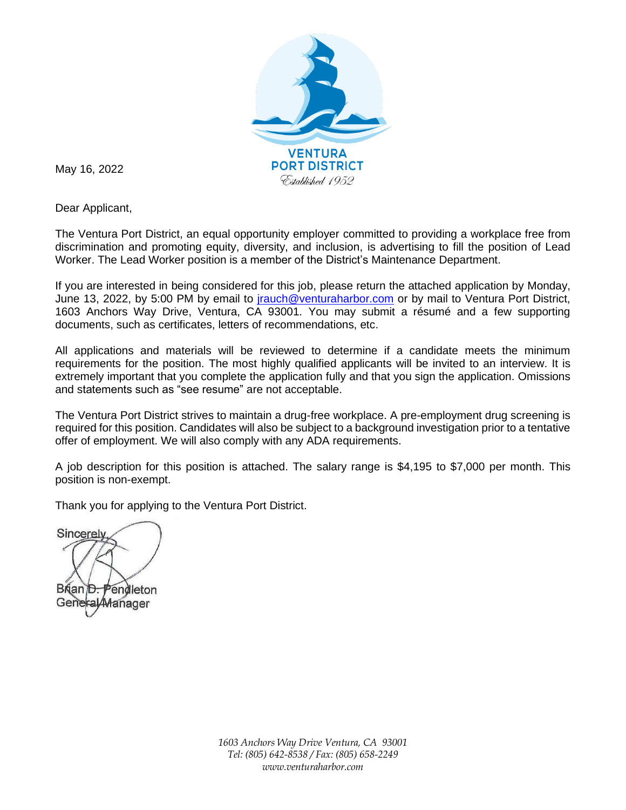

May 16, 2022

Dear Applicant,

The Ventura Port District, an equal opportunity employer committed to providing a workplace free from discrimination and promoting equity, diversity, and inclusion, is advertising to fill the position of Lead Worker. The Lead Worker position is a member of the District's Maintenance Department.

If you are interested in being considered for this job, please return the attached application by Monday, June 13, 2022, by 5:00 PM by email to *jrauch@venturaharbor.com* or by mail to Ventura Port District, 1603 Anchors Way Drive, Ventura, CA 93001. You may submit a résumé and a few supporting documents, such as certificates, letters of recommendations, etc.

All applications and materials will be reviewed to determine if a candidate meets the minimum requirements for the position. The most highly qualified applicants will be invited to an interview. It is extremely important that you complete the application fully and that you sign the application. Omissions and statements such as "see resume" are not acceptable.

The Ventura Port District strives to maintain a drug-free workplace. A pre-employment drug screening is required for this position. Candidates will also be subject to a background investigation prior to a tentative offer of employment. We will also comply with any ADA requirements.

A job description for this position is attached. The salary range is \$4,195 to \$7,000 per month. This position is non-exempt.

Thank you for applying to the Ventura Port District.

Sincerely

Brian D. Pendleton General **Manager** 

*1603 Anchors Way Drive Ventura, CA 93001 Tel: (805) 642-8538 / Fax: (805) 658-2249 www.venturaharbor.com*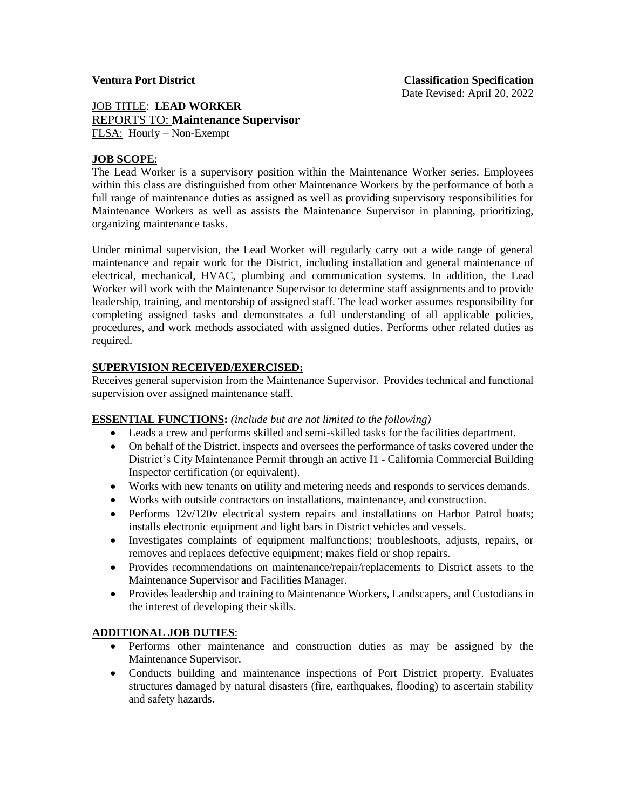## JOB TITLE: **LEAD WORKER** REPORTS TO: **Maintenance Supervisor** FLSA: Hourly – Non-Exempt

## **JOB SCOPE**:

The Lead Worker is a supervisory position within the Maintenance Worker series. Employees within this class are distinguished from other Maintenance Workers by the performance of both a full range of maintenance duties as assigned as well as providing supervisory responsibilities for Maintenance Workers as well as assists the Maintenance Supervisor in planning, prioritizing, organizing maintenance tasks.

Under minimal supervision, the Lead Worker will regularly carry out a wide range of general maintenance and repair work for the District, including installation and general maintenance of electrical, mechanical, HVAC, plumbing and communication systems. In addition, the Lead Worker will work with the Maintenance Supervisor to determine staff assignments and to provide leadership, training, and mentorship of assigned staff. The lead worker assumes responsibility for completing assigned tasks and demonstrates a full understanding of all applicable policies, procedures, and work methods associated with assigned duties. Performs other related duties as required.

### **SUPERVISION RECEIVED/EXERCISED:**

Receives general supervision from the Maintenance Supervisor. Provides technical and functional supervision over assigned maintenance staff.

### **ESSENTIAL FUNCTIONS:** *(include but are not limited to the following)*

- Leads a crew and performs skilled and semi-skilled tasks for the facilities department.
- On behalf of the District, inspects and oversees the performance of tasks covered under the District's City Maintenance Permit through an active I1 - California Commercial Building Inspector certification (or equivalent).
- Works with new tenants on utility and metering needs and responds to services demands.
- Works with outside contractors on installations, maintenance, and construction.
- Performs 12v/120v electrical system repairs and installations on Harbor Patrol boats; installs electronic equipment and light bars in District vehicles and vessels.
- Investigates complaints of equipment malfunctions; troubleshoots, adjusts, repairs, or removes and replaces defective equipment; makes field or shop repairs.
- Provides recommendations on maintenance/repair/replacements to District assets to the Maintenance Supervisor and Facilities Manager.
- Provides leadership and training to Maintenance Workers, Landscapers, and Custodians in the interest of developing their skills.

### **ADDITIONAL JOB DUTIES**:

- Performs other maintenance and construction duties as may be assigned by the Maintenance Supervisor.
- Conducts building and maintenance inspections of Port District property. Evaluates structures damaged by natural disasters (fire, earthquakes, flooding) to ascertain stability and safety hazards.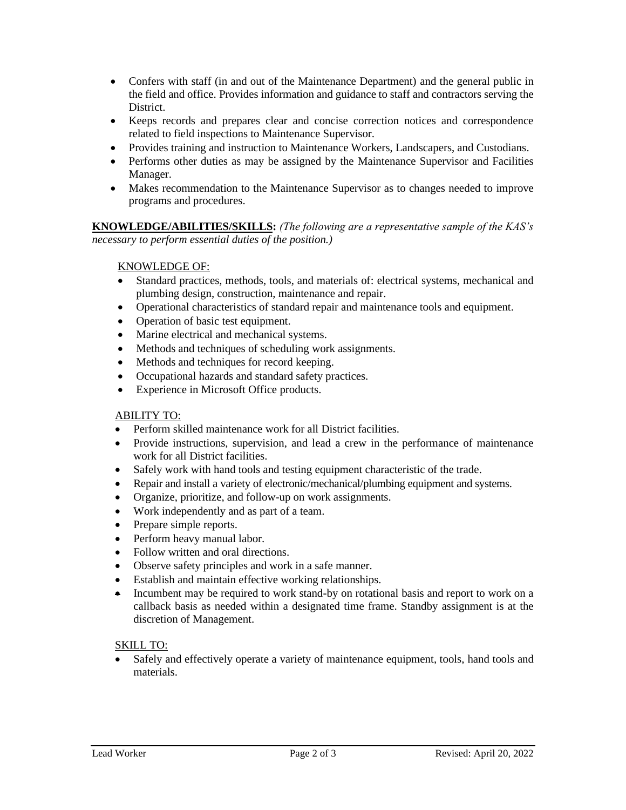- Confers with staff (in and out of the Maintenance Department) and the general public in the field and office. Provides information and guidance to staff and contractors serving the District.
- Keeps records and prepares clear and concise correction notices and correspondence related to field inspections to Maintenance Supervisor.
- Provides training and instruction to Maintenance Workers, Landscapers, and Custodians.
- Performs other duties as may be assigned by the Maintenance Supervisor and Facilities Manager.
- Makes recommendation to the Maintenance Supervisor as to changes needed to improve programs and procedures.

**KNOWLEDGE/ABILITIES/SKILLS:** *(The following are a representative sample of the KAS's necessary to perform essential duties of the position.)* 

## KNOWLEDGE OF:

- Standard practices, methods, tools, and materials of: electrical systems, mechanical and plumbing design, construction, maintenance and repair.
- Operational characteristics of standard repair and maintenance tools and equipment.
- Operation of basic test equipment.
- Marine electrical and mechanical systems.
- Methods and techniques of scheduling work assignments.
- Methods and techniques for record keeping.
- Occupational hazards and standard safety practices.
- Experience in Microsoft Office products.

## ABILITY TO:

- Perform skilled maintenance work for all District facilities.
- Provide instructions, supervision, and lead a crew in the performance of maintenance work for all District facilities.
- Safely work with hand tools and testing equipment characteristic of the trade.
- Repair and install a variety of electronic/mechanical/plumbing equipment and systems.
- Organize, prioritize, and follow-up on work assignments.
- Work independently and as part of a team.
- Prepare simple reports.
- Perform heavy manual labor.
- Follow written and oral directions.
- Observe safety principles and work in a safe manner.
- Establish and maintain effective working relationships.
- Incumbent may be required to work stand-by on rotational basis and report to work on a callback basis as needed within a designated time frame. Standby assignment is at the discretion of Management.

## SKILL TO:

• Safely and effectively operate a variety of maintenance equipment, tools, hand tools and materials.